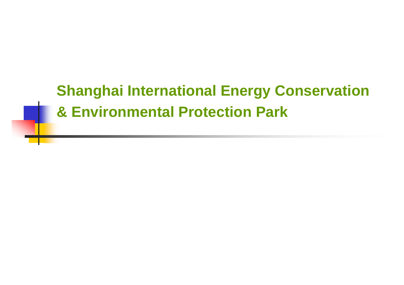#### **Shanghai International Energy Conservation & Environmental Protection Park**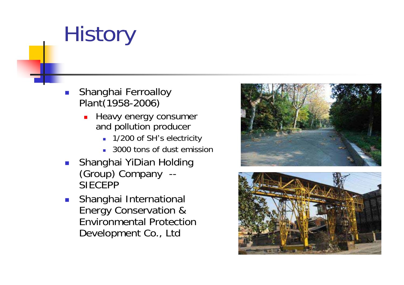# **History**

- $\mathcal{C}^{\mathcal{A}}$  Shanghai Ferroalloy Plant(1958-2006)
	- **Heavy energy consumer** and pollution producer
		- 1/200 of SH's electricity
		- 3000 tons of dust emission
- П Shanghai YiDian Holding (Group) Company -- **SIFCFPP**
- $\overline{\mathcal{A}}$  Shanghai International Energy Conservation & Environmental Protection Development Co., Ltd



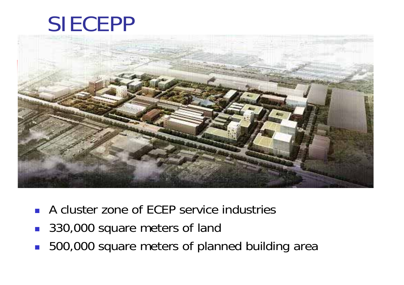#### SIECEPP



- A cluster zone of ECEP service industries
- 330,000 square meters of land
- 500,000 square meters of planned building area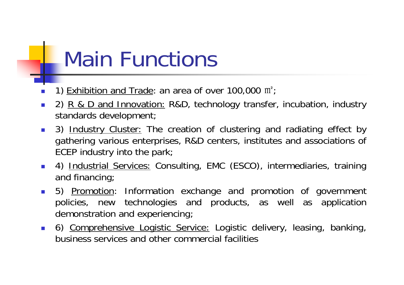### Main Functions

- Г ■ 1) Exhibition and Trade: an area of over 100,000 m<sup>2</sup>;
- $\mathcal{L}_{\mathrm{eff}}$ 2) R & D and Innovation: R&D, technology transfer, incubation, industry standards development;
- $\mathcal{L}_{\rm{eff}}$  3) Industry Cluster: The creation of clustering and radiating effect by gathering various enterprises, R&D centers, institutes and associations of ECEP industry into the park;
- $\mathcal{L}_{\text{max}}$ 4) Industrial Services: Consulting, EMC (ESCO), intermediaries, training and financing;
- $\mathcal{L}_{\mathrm{max}}$ 5) Promotion: Information exchange and promotion of government policies, new technologies and products, as well as application demonstration and experiencing;
- $\mathcal{L}(\mathcal{L})$  6) Comprehensive Logistic Service: Logistic delivery, leasing, banking, business services and other commercial facilities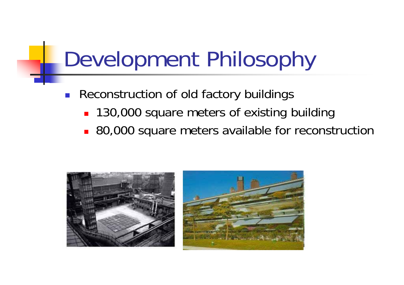# Development Philosophy

- Т, Reconstruction of old factory buildings
	- **130,000 square meters of existing building**
	- 80,000 square meters available for reconstruction

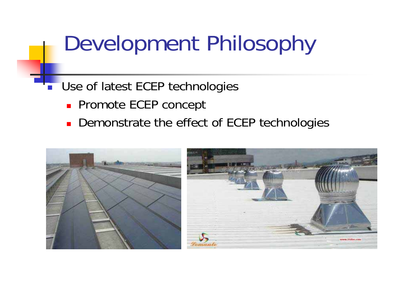### Development Philosophy

- T. Use of latest ECEP technologies
	- **Promote ECEP concept**
	- **Demonstrate the effect of ECEP technologies**

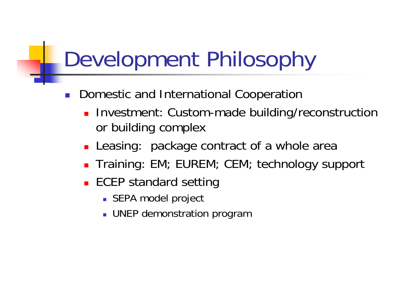# Development Philosophy

- Т, Domestic and International Cooperation
	- **Investment: Custom-made building/reconstruction** or building complex
	- **Leasing: package contract of a whole area**
	- **Training: EM; EUREM; CEM; technology support**
	- **ECEP standard setting** 
		- SEPA model project
		- **DEP demonstration program**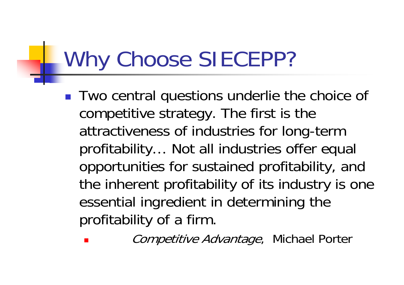## Why Choose SIECEPP?

- r. ■ Two central questions underlie the choice of competitive strategy. The first is the attractiveness of industries for long-term profitability … Not all industries offer equal opportunities for sustained profitability, and the inherent profitability of its industry is one essential ingredient in determining the profitability of a firm.
	- m. Competitive Advantage, Michael Porter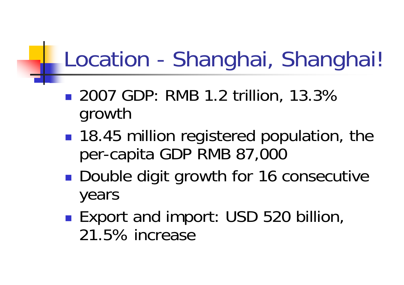## Location - Shanghai, Shanghai!

- 2007 GDP: RMB 1.2 trillion, 13.3% growth
- **18.45 million registered population, the** per-capita GDP RMB 87,000
- **Double digit growth for 16 consecutive** years
- ■ Export and import: USD 520 billion, 21.5% increase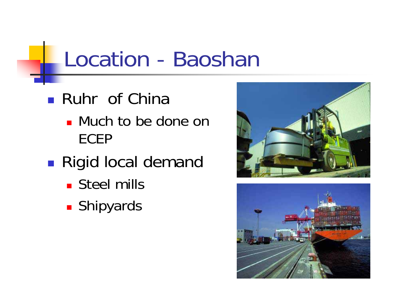#### Location - Baoshan

- **Ruhr** of China
	- **Nuch to be done on** ECEP
- **Rigid local demand** 
	- **Steel mills**
	- × **B** Shipyards



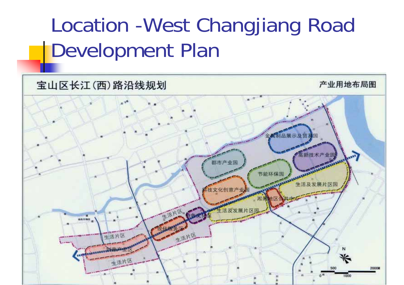#### Location -West Changjiang Road Development Plan

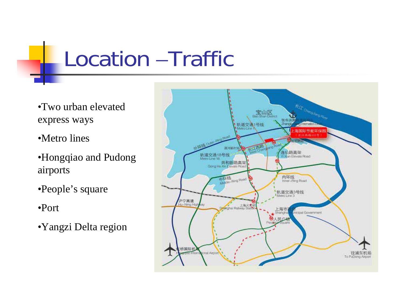# Location –Traffic

- •Two urban elevated express ways
- •Metro lines
- •Hongqiao and Pudong airports
- •People's square
- •Port
- •Yangzi Delta region

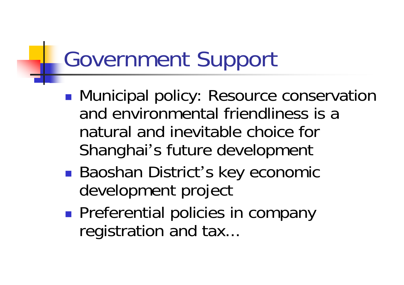# Government Support

- **• Municipal policy: Resource conservation** and environmental friendliness is a natural and inevitable choice for Shanghai 's future development
- Baoshan District's key economic development project
- **Preferential policies in company** registration and tax...